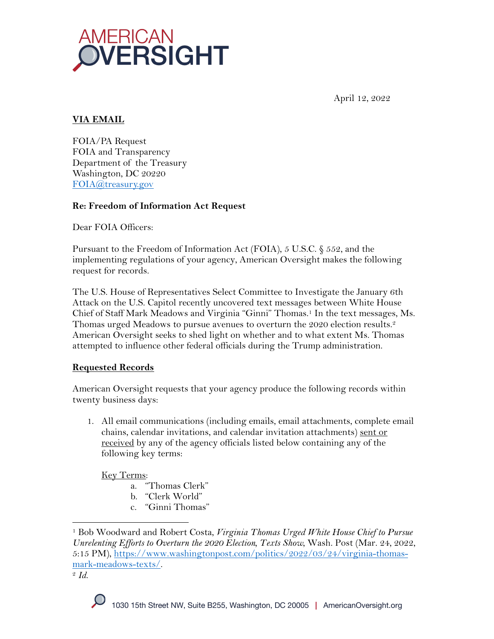

April 12, 2022

# **VIA EMAIL**

FOIA/PA Request FOIA and Transparency Department of the Treasury Washington, DC 20220 FOIA@treasury.gov

### **Re: Freedom of Information Act Request**

Dear FOIA Officers:

Pursuant to the Freedom of Information Act (FOIA), 5 U.S.C. § 552, and the implementing regulations of your agency, American Oversight makes the following request for records.

The U.S. House of Representatives Select Committee to Investigate the January 6th Attack on the U.S. Capitol recently uncovered text messages between White House Chief of Staff Mark Meadows and Virginia "Ginni" Thomas.<sup>1</sup> In the text messages, Ms. Thomas urged Meadows to pursue avenues to overturn the 2020 election results.<sup>2</sup> American Oversight seeks to shed light on whether and to what extent Ms. Thomas attempted to influence other federal officials during the Trump administration.

## **Requested Records**

American Oversight requests that your agency produce the following records within twenty business days:

1. All email communications (including emails, email attachments, complete email chains, calendar invitations, and calendar invitation attachments) sent or received by any of the agency officials listed below containing any of the following key terms:

Key Terms:

- a. "Thomas Clerk"
- b. "Clerk World"
- c. "Ginni Thomas"

<sup>2</sup> *Id*.

<sup>1</sup> Bob Woodward and Robert Costa, *Virginia Thomas Urged White House Chief to Pursue Unrelenting Efforts to Overturn the 2020 Election, Texts Show*, Wash. Post (Mar. 24, 2022, 5:15 PM), https://www.washingtonpost.com/politics/2022/03/24/virginia-thomasmark-meadows-texts/.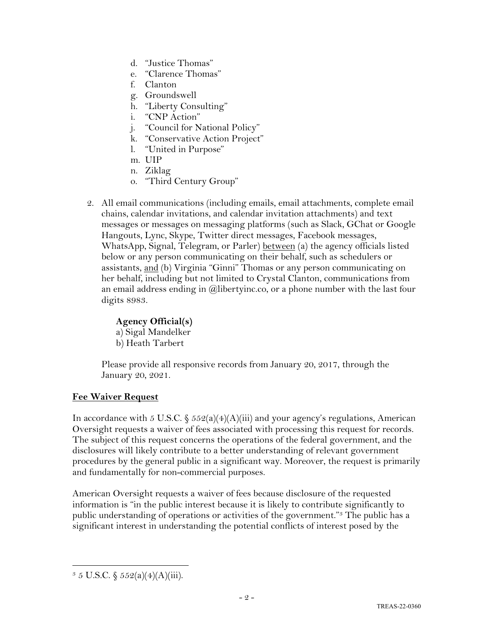- d. "Justice Thomas"
- e. "Clarence Thomas"
- f. Clanton
- g. Groundswell
- h. "Liberty Consulting"
- i. "CNP Action"
- j. "Council for National Policy"
- k. "Conservative Action Project"
- l. "United in Purpose"
- m. UIP
- n. Ziklag
- o. "Third Century Group"
- 2. All email communications (including emails, email attachments, complete email chains, calendar invitations, and calendar invitation attachments) and text messages or messages on messaging platforms (such as Slack, GChat or Google Hangouts, Lync, Skype, Twitter direct messages, Facebook messages, WhatsApp, Signal, Telegram, or Parler) between (a) the agency officials listed below or any person communicating on their behalf, such as schedulers or assistants, and (b) Virginia "Ginni" Thomas or any person communicating on her behalf, including but not limited to Crystal Clanton, communications from an email address ending in @libertyinc.co, or a phone number with the last four digits 8983.

#### **Agency Official(s)**

a) Sigal Mandelker b) Heath Tarbert

Please provide all responsive records from January 20, 2017, through the January 20, 2021.

## **Fee Waiver Request**

In accordance with 5 U.S.C.  $\frac{552(a)(4)(A)(iii)}{3}$  and your agency's regulations, American Oversight requests a waiver of fees associated with processing this request for records. The subject of this request concerns the operations of the federal government, and the disclosures will likely contribute to a better understanding of relevant government procedures by the general public in a significant way. Moreover, the request is primarily and fundamentally for non-commercial purposes.

American Oversight requests a waiver of fees because disclosure of the requested information is "in the public interest because it is likely to contribute significantly to public understanding of operations or activities of the government."3 The public has a significant interest in understanding the potential conflicts of interest posed by the

 $3 \, 5 \,$  U.S.C.  $\frac{2552(a)(4)(A)(iii)}{3 \, 5 \, 6 \, 5 \, 5 \, 6 \, (4)(A)(iii)}$ .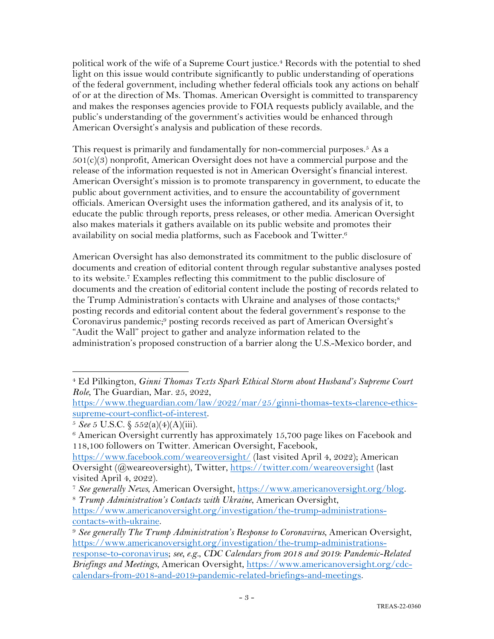political work of the wife of a Supreme Court justice. <sup>4</sup> Records with the potential to shed light on this issue would contribute significantly to public understanding of operations of the federal government, including whether federal officials took any actions on behalf of or at the direction of Ms. Thomas. American Oversight is committed to transparency and makes the responses agencies provide to FOIA requests publicly available, and the public's understanding of the government's activities would be enhanced through American Oversight's analysis and publication of these records.

This request is primarily and fundamentally for non-commercial purposes.<sup>5</sup> As a  $501(c)(3)$  nonprofit, American Oversight does not have a commercial purpose and the release of the information requested is not in American Oversight's financial interest. American Oversight's mission is to promote transparency in government, to educate the public about government activities, and to ensure the accountability of government officials. American Oversight uses the information gathered, and its analysis of it, to educate the public through reports, press releases, or other media. American Oversight also makes materials it gathers available on its public website and promotes their availability on social media platforms, such as Facebook and Twitter.6

American Oversight has also demonstrated its commitment to the public disclosure of documents and creation of editorial content through regular substantive analyses posted to its website.7 Examples reflecting this commitment to the public disclosure of documents and the creation of editorial content include the posting of records related to the Trump Administration's contacts with Ukraine and analyses of those contacts;<sup>8</sup> posting records and editorial content about the federal government's response to the Coronavirus pandemic;9 posting records received as part of American Oversight's "Audit the Wall" project to gather and analyze information related to the administration's proposed construction of a barrier along the U.S.-Mexico border, and

calendars-from-2018-and-2019-pandemic-related-briefings-and-meetings.

<sup>4</sup> Ed Pilkington, *Ginni Thomas Texts Spark Ethical Storm about Husband's Supreme Court Role*, The Guardian, Mar. 25, 2022,

https://www.theguardian.com/law/2022/mar/25/ginni-thomas-texts-clarence-ethicssupreme-court-conflict-of-interest. 5 *See* 5 U.S.C. § 552(a)(4)(A)(iii).

<sup>&</sup>lt;sup>6</sup> American Oversight currently has approximately 15,700 page likes on Facebook and 118,100 followers on Twitter. American Oversight, Facebook,

https://www.facebook.com/weareoversight/ (last visited April 4, 2022); American Oversight (@weareoversight), Twitter, https://twitter.com/weareoversight (last visited April 4, 2022).

<sup>7</sup> *See generally News*, American Oversight, https://www.americanoversight.org/blog. 8 *Trump Administration's Contacts with Ukraine*, American Oversight,

https://www.americanoversight.org/investigation/the-trump-administrationscontacts-with-ukraine.

<sup>9</sup> *See generally The Trump Administration's Response to Coronavirus*, American Oversight, https://www.americanoversight.org/investigation/the-trump-administrationsresponse-to-coronavirus; *see, e.g.*, *CDC Calendars from 2018 and 2019: Pandemic-Related Briefings and Meetings*, American Oversight, https://www.americanoversight.org/cdc-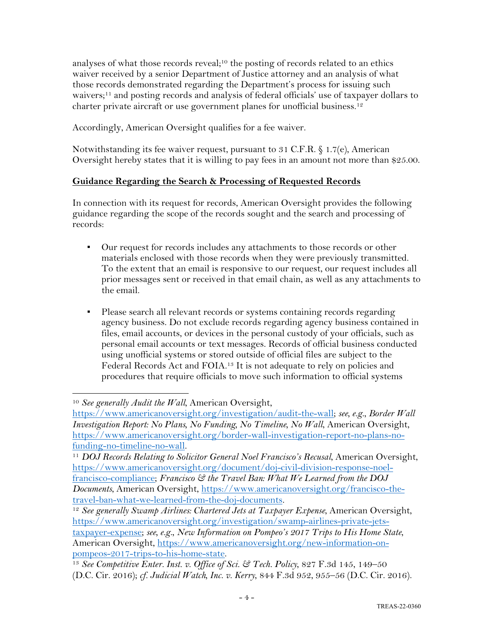analyses of what those records reveal;10 the posting of records related to an ethics waiver received by a senior Department of Justice attorney and an analysis of what those records demonstrated regarding the Department's process for issuing such waivers;<sup>11</sup> and posting records and analysis of federal officials' use of taxpayer dollars to charter private aircraft or use government planes for unofficial business.<sup>12</sup>

Accordingly, American Oversight qualifies for a fee waiver.

Notwithstanding its fee waiver request, pursuant to 31 C.F.R. § 1.7(e), American Oversight hereby states that it is willing to pay fees in an amount not more than \$25.00.

## **Guidance Regarding the Search & Processing of Requested Records**

In connection with its request for records, American Oversight provides the following guidance regarding the scope of the records sought and the search and processing of records:

- Our request for records includes any attachments to those records or other materials enclosed with those records when they were previously transmitted. To the extent that an email is responsive to our request, our request includes all prior messages sent or received in that email chain, as well as any attachments to the email.
- Please search all relevant records or systems containing records regarding agency business. Do not exclude records regarding agency business contained in files, email accounts, or devices in the personal custody of your officials, such as personal email accounts or text messages. Records of official business conducted using unofficial systems or stored outside of official files are subject to the Federal Records Act and FOIA.13 It is not adequate to rely on policies and procedures that require officials to move such information to official systems

<sup>10</sup> *See generally Audit the Wall*, American Oversight,

https://www.americanoversight.org/investigation/audit-the-wall; *see, e.g.*, *Border Wall Investigation Report: No Plans, No Funding, No Timeline, No Wall*, American Oversight, https://www.americanoversight.org/border-wall-investigation-report-no-plans-no-

funding-no-timeline-no-wall. 11 *DOJ Records Relating to Solicitor General Noel Francisco's Recusal*, American Oversight, https://www.americanoversight.org/document/doj-civil-division-response-noelfrancisco-compliance; *Francisco & the Travel Ban: What We Learned from the DOJ Documents*, American Oversight, https://www.americanoversight.org/francisco-thetravel-ban-what-we-learned-from-the-doj-documents.

<sup>&</sup>lt;sup>12</sup> See generally Swamp Airlines: Chartered Jets at Taxpayer Expense, American Oversight, https://www.americanoversight.org/investigation/swamp-airlines-private-jetstaxpayer-expense; *see, e.g.*, *New Information on Pompeo's 2017 Trips to His Home State*, American Oversight, https://www.americanoversight.org/new-information-onpompeos-2017-trips-to-his-home-state.

<sup>13</sup> *See Competitive Enter. Inst. v. Office of Sci. & Tech. Policy*, 827 F.3d 145, 149–50 (D.C. Cir. 2016); *cf. Judicial Watch, Inc. v. Kerry*, 844 F.3d 952, 955–56 (D.C. Cir. 2016).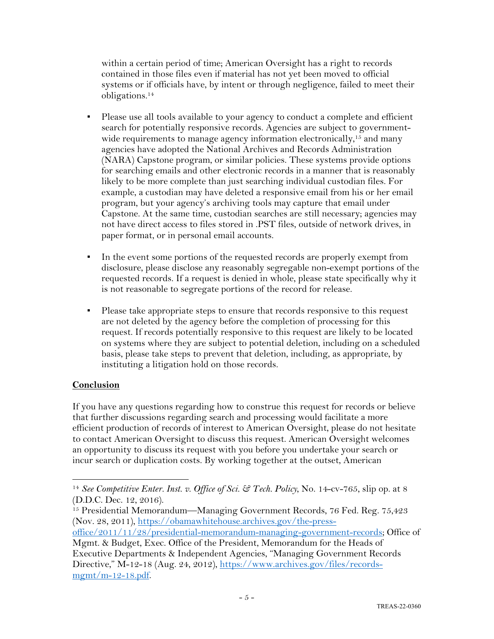within a certain period of time; American Oversight has a right to records contained in those files even if material has not yet been moved to official systems or if officials have, by intent or through negligence, failed to meet their obligations.14

- Please use all tools available to your agency to conduct a complete and efficient search for potentially responsive records. Agencies are subject to governmentwide requirements to manage agency information electronically,<sup>15</sup> and many agencies have adopted the National Archives and Records Administration (NARA) Capstone program, or similar policies. These systems provide options for searching emails and other electronic records in a manner that is reasonably likely to be more complete than just searching individual custodian files. For example, a custodian may have deleted a responsive email from his or her email program, but your agency's archiving tools may capture that email under Capstone. At the same time, custodian searches are still necessary; agencies may not have direct access to files stored in .PST files, outside of network drives, in paper format, or in personal email accounts.
- In the event some portions of the requested records are properly exempt from disclosure, please disclose any reasonably segregable non-exempt portions of the requested records. If a request is denied in whole, please state specifically why it is not reasonable to segregate portions of the record for release.
- Please take appropriate steps to ensure that records responsive to this request are not deleted by the agency before the completion of processing for this request. If records potentially responsive to this request are likely to be located on systems where they are subject to potential deletion, including on a scheduled basis, please take steps to prevent that deletion, including, as appropriate, by instituting a litigation hold on those records.

## **Conclusion**

If you have any questions regarding how to construe this request for records or believe that further discussions regarding search and processing would facilitate a more efficient production of records of interest to American Oversight, please do not hesitate to contact American Oversight to discuss this request. American Oversight welcomes an opportunity to discuss its request with you before you undertake your search or incur search or duplication costs. By working together at the outset, American

<sup>14</sup> *See Competitive Enter. Inst. v. Office of Sci. & Tech. Policy*, No. 14-cv-765, slip op. at 8 (D.D.C. Dec. 12, 2016).

<sup>&</sup>lt;sup>15</sup> Presidential Memorandum—Managing Government Records, 76 Fed. Reg. 75,423 (Nov. 28, 2011), https://obamawhitehouse.archives.gov/the-press-

office/2011/11/28/presidential-memorandum-managing-government-records; Office of Mgmt. & Budget, Exec. Office of the President, Memorandum for the Heads of

Executive Departments & Independent Agencies, "Managing Government Records Directive," M-12-18 (Aug. 24, 2012), https://www.archives.gov/files/recordsmgmt/m-12-18.pdf.